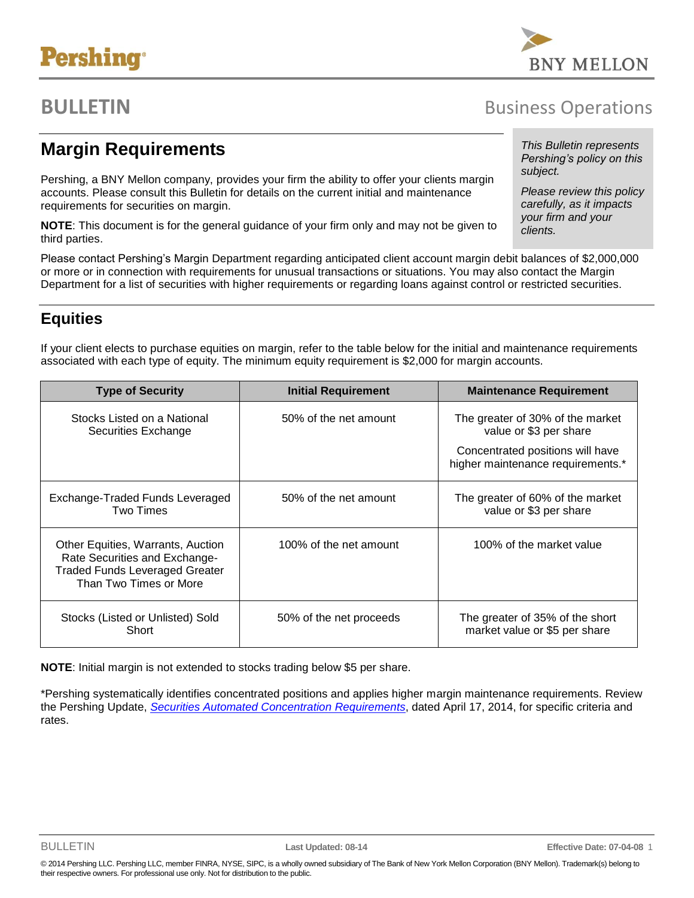# **Pershing®**

## **BULLETIN** BUSINESS Operations

## **Margin Requirements**

Pershing, a BNY Mellon company, provides your firm the ability to offer your clients margin accounts. Please consult this Bulletin for details on the current initial and maintenance requirements for securities on margin.

**NOTE**: This document is for the general guidance of your firm only and may not be given to third parties.

Please contact Pershing's Margin Department regarding anticipated client account margin debit balances of \$2,000,000 or more or in connection with requirements for unusual transactions or situations. You may also contact the Margin Department for a list of securities with higher requirements or regarding loans against control or restricted securities.

### **Equities**

If your client elects to purchase equities on margin, refer to the table below for the initial and maintenance requirements associated with each type of equity. The minimum equity requirement is \$2,000 for margin accounts.

| <b>Type of Security</b>                                                                                                               | <b>Initial Requirement</b> | <b>Maintenance Requirement</b>                                                                                                      |
|---------------------------------------------------------------------------------------------------------------------------------------|----------------------------|-------------------------------------------------------------------------------------------------------------------------------------|
| Stocks Listed on a National<br>Securities Exchange                                                                                    | 50% of the net amount      | The greater of 30% of the market<br>value or \$3 per share<br>Concentrated positions will have<br>higher maintenance requirements.* |
| Exchange-Traded Funds Leveraged<br>Two Times                                                                                          | 50% of the net amount      | The greater of 60% of the market<br>value or \$3 per share                                                                          |
| Other Equities, Warrants, Auction<br>Rate Securities and Exchange-<br><b>Traded Funds Leveraged Greater</b><br>Than Two Times or More | 100% of the net amount     | 100% of the market value                                                                                                            |
| Stocks (Listed or Unlisted) Sold<br>Short                                                                                             | 50% of the net proceeds    | The greater of 35% of the short<br>market value or \$5 per share                                                                    |

**NOTE**: Initial margin is not extended to stocks trading below \$5 per share.

\*Pershing systematically identifies concentrated positions and applies higher margin maintenance requirements. Review the Pershing Update, *[Securities Automated Concentration Requirements](/netxpro/ocrc/static/docs/rd/U-AutoConcentrationReqs-20140417.pdf)*, dated April 17, 2014, for specific criteria and rates.



#### *This Bulletin represents Pershing's policy on this subject.*

*Please review this policy carefully, as it impacts your firm and your clients.*

© 2014 Pershing LLC. Pershing LLC, member FINRA, NYSE, SIPC, is a wholly owned subsidiary of The Bank of New York Mellon Corporation (BNY Mellon). Trademark(s) belong to their respective owners. For professional use only. Not for distribution to the public.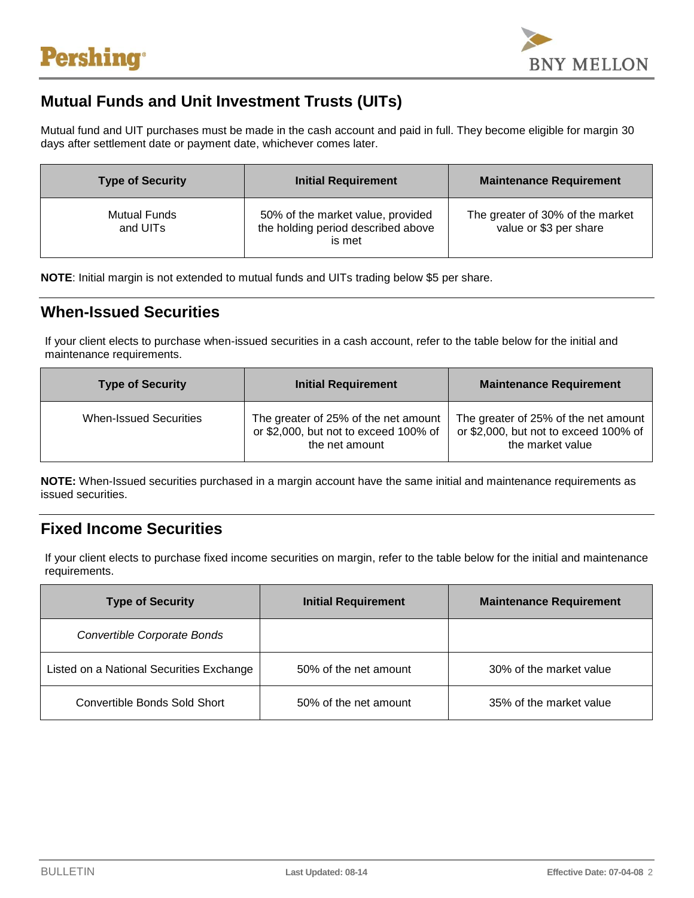

### **Mutual Funds and Unit Investment Trusts (UITs)**

Mutual fund and UIT purchases must be made in the cash account and paid in full. They become eligible for margin 30 days after settlement date or payment date, whichever comes later.

| <b>Type of Security</b>         | <b>Initial Requirement</b>                                                        | <b>Maintenance Requirement</b>                             |
|---------------------------------|-----------------------------------------------------------------------------------|------------------------------------------------------------|
| <b>Mutual Funds</b><br>and UITs | 50% of the market value, provided<br>the holding period described above<br>is met | The greater of 30% of the market<br>value or \$3 per share |

**NOTE**: Initial margin is not extended to mutual funds and UITs trading below \$5 per share.

#### **When-Issued Securities**

If your client elects to purchase when-issued securities in a cash account, refer to the table below for the initial and maintenance requirements.

| <b>Type of Security</b>       | <b>Initial Requirement</b>                                                                      | <b>Maintenance Requirement</b>                                                                    |
|-------------------------------|-------------------------------------------------------------------------------------------------|---------------------------------------------------------------------------------------------------|
| <b>When-Issued Securities</b> | The greater of 25% of the net amount<br>or \$2,000, but not to exceed 100% of<br>the net amount | The greater of 25% of the net amount<br>or \$2,000, but not to exceed 100% of<br>the market value |

**NOTE:** When-Issued securities purchased in a margin account have the same initial and maintenance requirements as issued securities.

#### **Fixed Income Securities**

If your client elects to purchase fixed income securities on margin, refer to the table below for the initial and maintenance requirements.

| <b>Type of Security</b>                  | <b>Initial Requirement</b> | <b>Maintenance Requirement</b> |
|------------------------------------------|----------------------------|--------------------------------|
| Convertible Corporate Bonds              |                            |                                |
| Listed on a National Securities Exchange | 50% of the net amount      | 30% of the market value        |
| Convertible Bonds Sold Short             | 50% of the net amount      | 35% of the market value        |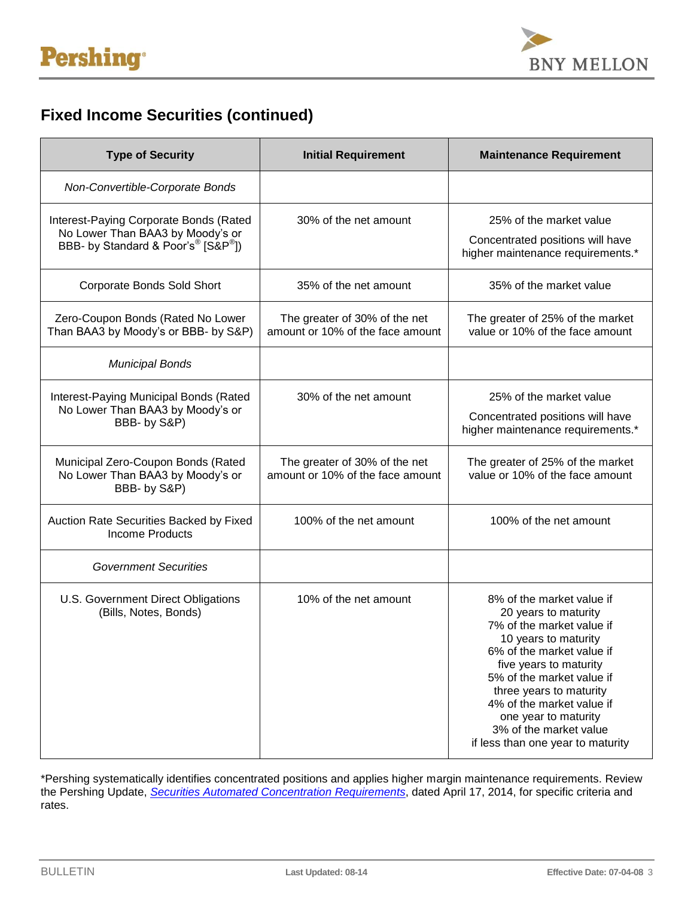

## **Fixed Income Securities (continued)**

| <b>Type of Security</b>                                                                                                                   | <b>Initial Requirement</b>                                        | <b>Maintenance Requirement</b>                                                                                                                                                                                                                                                                                                            |
|-------------------------------------------------------------------------------------------------------------------------------------------|-------------------------------------------------------------------|-------------------------------------------------------------------------------------------------------------------------------------------------------------------------------------------------------------------------------------------------------------------------------------------------------------------------------------------|
| Non-Convertible-Corporate Bonds                                                                                                           |                                                                   |                                                                                                                                                                                                                                                                                                                                           |
| Interest-Paying Corporate Bonds (Rated<br>No Lower Than BAA3 by Moody's or<br>BBB- by Standard & Poor's <sup>®</sup> [S&P <sup>®</sup> ]) | 30% of the net amount                                             | 25% of the market value<br>Concentrated positions will have<br>higher maintenance requirements.*                                                                                                                                                                                                                                          |
| <b>Corporate Bonds Sold Short</b>                                                                                                         | 35% of the net amount                                             | 35% of the market value                                                                                                                                                                                                                                                                                                                   |
| Zero-Coupon Bonds (Rated No Lower<br>Than BAA3 by Moody's or BBB- by S&P)                                                                 | The greater of 30% of the net<br>amount or 10% of the face amount | The greater of 25% of the market<br>value or 10% of the face amount                                                                                                                                                                                                                                                                       |
| <b>Municipal Bonds</b>                                                                                                                    |                                                                   |                                                                                                                                                                                                                                                                                                                                           |
| Interest-Paying Municipal Bonds (Rated<br>No Lower Than BAA3 by Moody's or<br>BBB- by S&P)                                                | 30% of the net amount                                             | 25% of the market value<br>Concentrated positions will have<br>higher maintenance requirements.*                                                                                                                                                                                                                                          |
| Municipal Zero-Coupon Bonds (Rated<br>No Lower Than BAA3 by Moody's or<br>BBB- by S&P)                                                    | The greater of 30% of the net<br>amount or 10% of the face amount | The greater of 25% of the market<br>value or 10% of the face amount                                                                                                                                                                                                                                                                       |
| Auction Rate Securities Backed by Fixed<br><b>Income Products</b>                                                                         | 100% of the net amount                                            | 100% of the net amount                                                                                                                                                                                                                                                                                                                    |
| <b>Government Securities</b>                                                                                                              |                                                                   |                                                                                                                                                                                                                                                                                                                                           |
| U.S. Government Direct Obligations<br>(Bills, Notes, Bonds)                                                                               | 10% of the net amount                                             | 8% of the market value if<br>20 years to maturity<br>7% of the market value if<br>10 years to maturity<br>6% of the market value if<br>five years to maturity<br>5% of the market value if<br>three years to maturity<br>4% of the market value if<br>one year to maturity<br>3% of the market value<br>if less than one year to maturity |

\*Pershing systematically identifies concentrated positions and applies higher margin maintenance requirements. Review the Pershing Update, *[Securities Automated Concentration Requirements](http://www.pershing.com/email/pdf/U-AutoConcentrationReqs-20140417.pdf)*, dated April 17, 2014, for specific criteria and rates.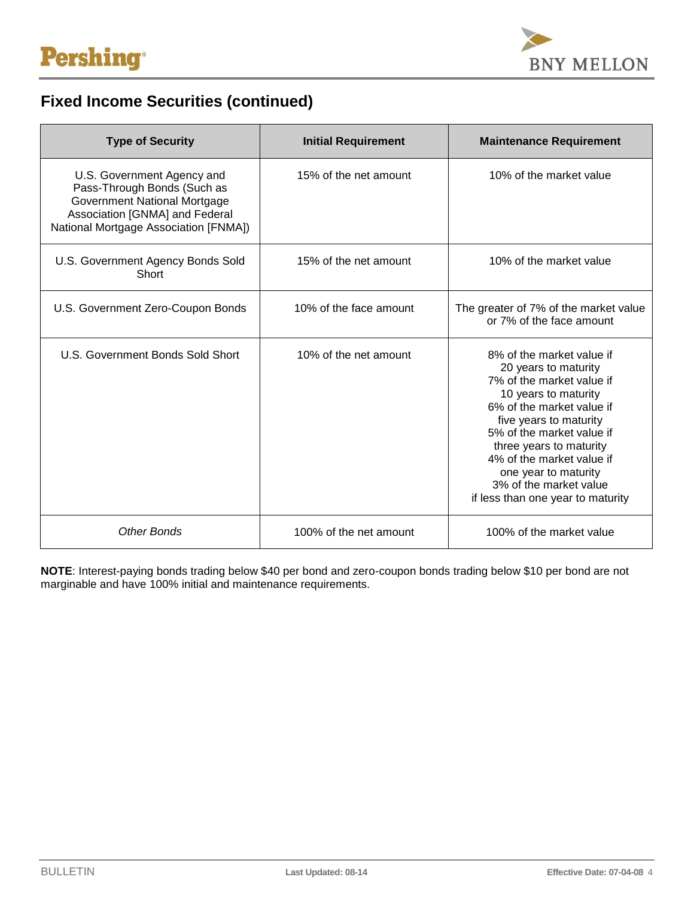

## **Fixed Income Securities (continued)**

| <b>Type of Security</b>                                                                                                                                              | <b>Initial Requirement</b> | <b>Maintenance Requirement</b>                                                                                                                                                                                                                                                                                                            |
|----------------------------------------------------------------------------------------------------------------------------------------------------------------------|----------------------------|-------------------------------------------------------------------------------------------------------------------------------------------------------------------------------------------------------------------------------------------------------------------------------------------------------------------------------------------|
| U.S. Government Agency and<br>Pass-Through Bonds (Such as<br>Government National Mortgage<br>Association [GNMA] and Federal<br>National Mortgage Association [FNMA]) | 15% of the net amount      | 10% of the market value                                                                                                                                                                                                                                                                                                                   |
| U.S. Government Agency Bonds Sold<br>Short                                                                                                                           | 15% of the net amount      | 10% of the market value                                                                                                                                                                                                                                                                                                                   |
| U.S. Government Zero-Coupon Bonds                                                                                                                                    | 10% of the face amount     | The greater of 7% of the market value<br>or 7% of the face amount                                                                                                                                                                                                                                                                         |
| U.S. Government Bonds Sold Short                                                                                                                                     | 10% of the net amount      | 8% of the market value if<br>20 years to maturity<br>7% of the market value if<br>10 years to maturity<br>6% of the market value if<br>five years to maturity<br>5% of the market value if<br>three years to maturity<br>4% of the market value if<br>one year to maturity<br>3% of the market value<br>if less than one year to maturity |
| <b>Other Bonds</b>                                                                                                                                                   | 100% of the net amount     | 100% of the market value                                                                                                                                                                                                                                                                                                                  |

**NOTE**: Interest-paying bonds trading below \$40 per bond and zero-coupon bonds trading below \$10 per bond are not marginable and have 100% initial and maintenance requirements.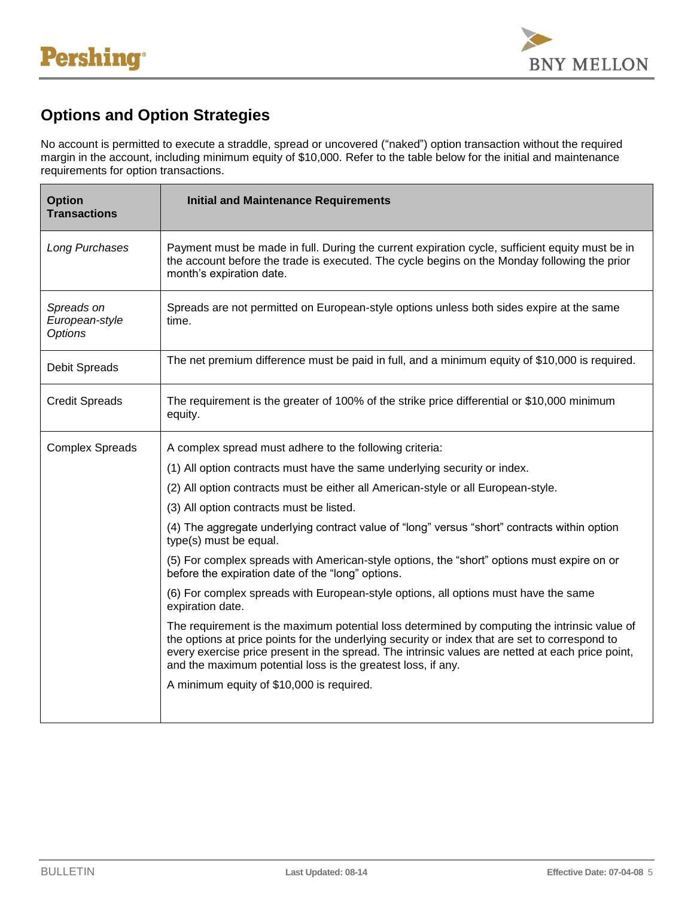

## **Options and Option Strategies**

No account is permitted to execute a straddle, spread or uncovered ("naked") option transaction without the required margin in the account, including minimum equity of \$10,000. Refer to the table below for the initial and maintenance requirements for option transactions.

| <b>Option</b><br><b>Transactions</b>           | <b>Initial and Maintenance Requirements</b>                                                                                                                                                                                                                                                                                                                        |
|------------------------------------------------|--------------------------------------------------------------------------------------------------------------------------------------------------------------------------------------------------------------------------------------------------------------------------------------------------------------------------------------------------------------------|
| Long Purchases                                 | Payment must be made in full. During the current expiration cycle, sufficient equity must be in<br>the account before the trade is executed. The cycle begins on the Monday following the prior<br>month's expiration date.                                                                                                                                        |
| Spreads on<br>European-style<br><b>Options</b> | Spreads are not permitted on European-style options unless both sides expire at the same<br>time.                                                                                                                                                                                                                                                                  |
| <b>Debit Spreads</b>                           | The net premium difference must be paid in full, and a minimum equity of \$10,000 is required.                                                                                                                                                                                                                                                                     |
| <b>Credit Spreads</b>                          | The requirement is the greater of 100% of the strike price differential or \$10,000 minimum<br>equity.                                                                                                                                                                                                                                                             |
| <b>Complex Spreads</b>                         | A complex spread must adhere to the following criteria:                                                                                                                                                                                                                                                                                                            |
|                                                | (1) All option contracts must have the same underlying security or index.                                                                                                                                                                                                                                                                                          |
|                                                | (2) All option contracts must be either all American-style or all European-style.                                                                                                                                                                                                                                                                                  |
|                                                | (3) All option contracts must be listed.                                                                                                                                                                                                                                                                                                                           |
|                                                | (4) The aggregate underlying contract value of "long" versus "short" contracts within option<br>type(s) must be equal.                                                                                                                                                                                                                                             |
|                                                | (5) For complex spreads with American-style options, the "short" options must expire on or<br>before the expiration date of the "long" options.                                                                                                                                                                                                                    |
|                                                | (6) For complex spreads with European-style options, all options must have the same<br>expiration date.                                                                                                                                                                                                                                                            |
|                                                | The requirement is the maximum potential loss determined by computing the intrinsic value of<br>the options at price points for the underlying security or index that are set to correspond to<br>every exercise price present in the spread. The intrinsic values are netted at each price point,<br>and the maximum potential loss is the greatest loss, if any. |
|                                                | A minimum equity of \$10,000 is required.                                                                                                                                                                                                                                                                                                                          |
|                                                |                                                                                                                                                                                                                                                                                                                                                                    |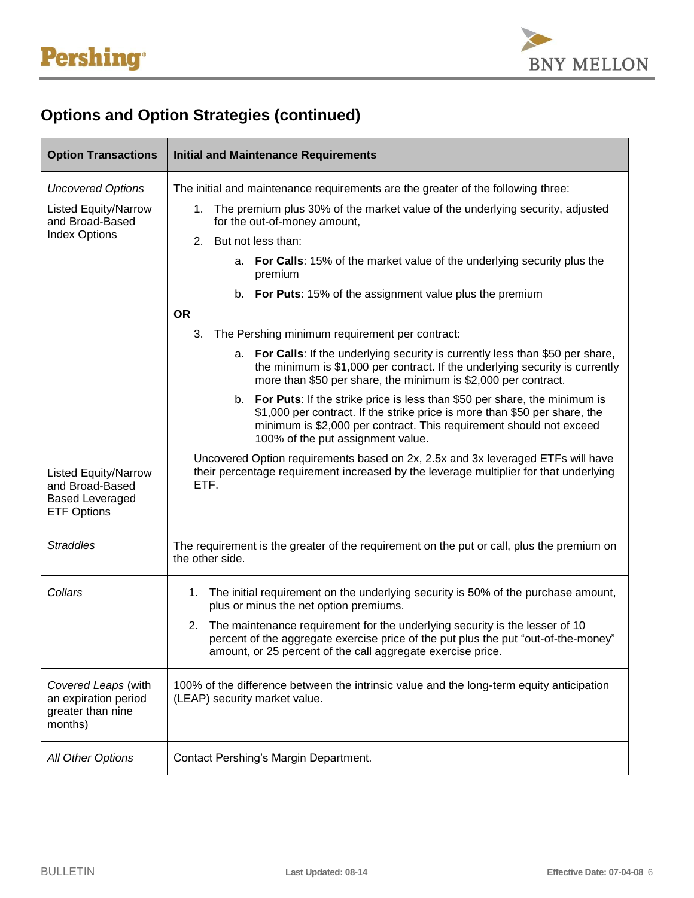

## **Options and Option Strategies (continued)**

| <b>Option Transactions</b>                                                                     | <b>Initial and Maintenance Requirements</b>                                                                                                                                                                                                                            |
|------------------------------------------------------------------------------------------------|------------------------------------------------------------------------------------------------------------------------------------------------------------------------------------------------------------------------------------------------------------------------|
| <b>Uncovered Options</b>                                                                       | The initial and maintenance requirements are the greater of the following three:                                                                                                                                                                                       |
| <b>Listed Equity/Narrow</b><br>and Broad-Based                                                 | 1. The premium plus 30% of the market value of the underlying security, adjusted<br>for the out-of-money amount,                                                                                                                                                       |
| <b>Index Options</b>                                                                           | 2. But not less than:                                                                                                                                                                                                                                                  |
|                                                                                                | a. For Calls: 15% of the market value of the underlying security plus the<br>premium                                                                                                                                                                                   |
|                                                                                                | b. For Puts: 15% of the assignment value plus the premium                                                                                                                                                                                                              |
|                                                                                                | <b>OR</b>                                                                                                                                                                                                                                                              |
|                                                                                                | 3.<br>The Pershing minimum requirement per contract:                                                                                                                                                                                                                   |
|                                                                                                | a. For Calls: If the underlying security is currently less than \$50 per share,<br>the minimum is \$1,000 per contract. If the underlying security is currently<br>more than \$50 per share, the minimum is \$2,000 per contract.                                      |
|                                                                                                | b. For Puts: If the strike price is less than \$50 per share, the minimum is<br>\$1,000 per contract. If the strike price is more than \$50 per share, the<br>minimum is \$2,000 per contract. This requirement should not exceed<br>100% of the put assignment value. |
| <b>Listed Equity/Narrow</b><br>and Broad-Based<br><b>Based Leveraged</b><br><b>ETF Options</b> | Uncovered Option requirements based on 2x, 2.5x and 3x leveraged ETFs will have<br>their percentage requirement increased by the leverage multiplier for that underlying<br>ETF.                                                                                       |
| <b>Straddles</b>                                                                               | The requirement is the greater of the requirement on the put or call, plus the premium on<br>the other side.                                                                                                                                                           |
| Collars                                                                                        | The initial requirement on the underlying security is 50% of the purchase amount,<br>1.<br>plus or minus the net option premiums.                                                                                                                                      |
|                                                                                                | The maintenance requirement for the underlying security is the lesser of 10<br>2.<br>percent of the aggregate exercise price of the put plus the put "out-of-the-money"<br>amount, or 25 percent of the call aggregate exercise price.                                 |
| Covered Leaps (with<br>an expiration period<br>greater than nine<br>months)                    | 100% of the difference between the intrinsic value and the long-term equity anticipation<br>(LEAP) security market value.                                                                                                                                              |
| All Other Options                                                                              | Contact Pershing's Margin Department.                                                                                                                                                                                                                                  |